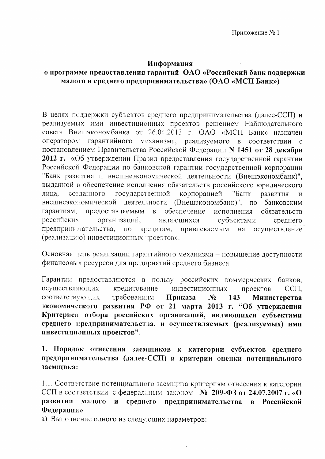## Информация

## о программе предоставления гарантий ОАО «Российский банк поддержки малого и среднего предпринимательства» (ОАО «МСП Банк»)

В целях поддержки субъектов среднего предпринимательства (далее-ССП) и реализуемых ими инвестиционных проектов решением Наблюдательного совета Внешэкономбанка от 26.04.2013 г. ОАО «МСП Банк» назначен оператором гарантийного механизма, реализуемого в соответствии  $\overline{c}$ постановлением Правительства Российской Федерации N 1451 от 28 декабря 2012 г. «Об утверждении Правил предоставления государственной гарантии Российской Федерации по банковской гарантии государственной корпорации "Банк развития и внешнеэкономической деятельности (Внешэкономбанк)". выданной в обеспечение исполнения обязательств российского юридического государственной корпорацией лица, созданного "Банк развития  $\overline{M}$ внешнеэкономической деятельности (Внешэкономбанк)", по банковским гарантиям, предоставляемым  $\overline{B}$ обеспечение исполнения обязательств российских организаций, субъектами являющихся среднего предпринимательства, привлекаемым  $\Pi$ O кредитам, на осуществление (реализацию) инвестиционных проектов».

Основная цель реализации гарантийного механизма - повышение доступности финансовых ресурсов для предприятий среднего бизнеса.

Гарантии предоставляются в пользу российских коммерческих банков, осуществляющих кредитование инвестиционных проектов CCП. соответствующих требованиям Приказа Министерства  $N_2$ 143 экономического развития РФ от 21 марта 2013 г. "Об утверждении Критериев отбора российских организаций, являющихся субъектами среднего предпринимательства, и осуществляемых (реализуемых) ими инвестиционных проектов".

1. Порядок отнесения заемщиков к категории субъектов среднего предпринимательства (далее-ССП) и критерии оценки потенциального заемщика:

1.1. Соответствие потенциального заемщика критериям отнесения к категории ССП в соответствии с федеральным законом  $N_2$  209-ФЗ от 24.07.2007 г. «О малого и среднего предпринимательства в Российской развитии Федерации»

а) Выполнение одного из следующих параметров: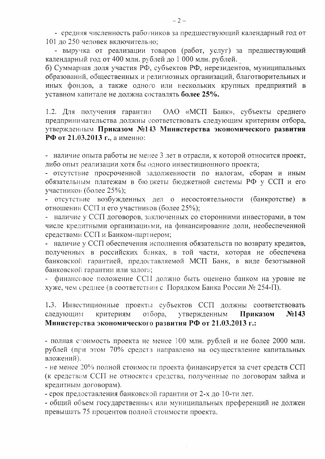- средняя численность работников за предшествующий календарный год от 101 до 250 человек включительно;

- выручка от реализации товаров (работ, услуг) за предшествующий календарный год от 400 млн. рублей до 1 000 млн. рублей.

б) Суммарная доля участия РФ, субъектов РФ, нерезидентов, муниципальных образований, общественных и религиозных организаций, благотворительных и иных фондов, а также одного или нескольких крупных предприятий в уставном капитале не должна составлять более 25%.

ОАО «МСП Банк», субъекты среднего 1.2. Для получения гарантин предпринимательства должны соответствовать следующим критериям отбора, утвержденным Приказом №143 Министерства экономического развития РФ от 21.03.2013 г., а именно:

- наличие опыта работы не менее 3 лет в отрасли, к которой относится проект, либо опыт реализации хотя бы одного инвестиционного проекта;

- отсутствие просроченной задолженности по налогам, сборам и иным обязательным платежам в бюджеты бюджетной системы РФ у ССП и его участников (более 25%);

- отсутствие возбужденных дел о несостоятельности (банкротстве) в отношении ССП и его участников (более 25%);

- наличие у ССП договоров, заключенных со сторонними инвесторами, в том числе кредитными организациями, на финансирование доли, необеспеченной средствами ССП и Банком-партнером;

- наличие у ССП обеспечения исполнения обязательств по возврату кредитов, полученных в российских банках, в той части, которая не обеспечена банковской гарантией, предоставляемой МСП Банк, в виде безотзывной банковской гарантии или залога;

- финансовое положение ССП должно быть оценено банком на уровне не хуже, чем среднее (в соответствии с Порядком Банка России № 254-П).

1.3. Инвестиционные проекты субъектов ССП должны соответствовать следующим критериям отбора. утвержденным Приказом  $\mathbf{N}$ <sup>0</sup>143 Министерства экономического развития РФ от 21.03.2013 г.:

- полная стоимость проекта не менее 100 млн. рублей и не более 2000 млн. рублей (при этом 70% средств направлено на осуществление капитальных вложений).

- не менее 20% полной стоимости проекта финансируется за счет средств ССП (к средствам ССП не относятся средства, полученные по договорам займа и кредитным договорам).

- срок предоставления банковской гарантии от 2-х до 10-ти лет.

- общий объем государственных или муниципальных преференций не должен превышать 75 процентов полной стоимости проекта.